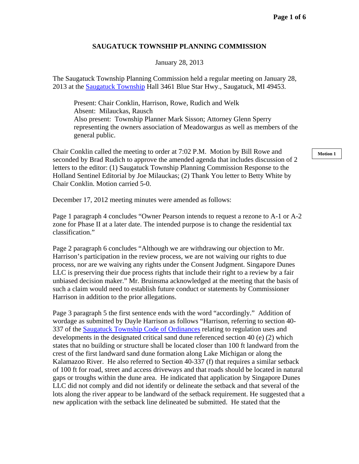## **SAUGATUCK TOWNSHIP PLANNING COMMISSION**

January 28, 2013

The Saugatuck Township Planning Commission held a regular meeting on January 28, 2013 at the Saugatuck Township Hall 3461 Blue Star Hwy., Saugatuck, MI 49453.

 Present: Chair Conklin, Harrison, Rowe, Rudich and Welk Absent: Milauckas, Rausch Also present: Township Planner Mark Sisson; Attorney Glenn Sperry representing the owners association of Meadowargus as well as members of the general public.

Chair Conklin called the meeting to order at 7:02 P.M. Motion by Bill Rowe and seconded by Brad Rudich to approve the amended agenda that includes discussion of 2 letters to the editor: (1) Saugatuck Township Planning Commission Response to the Holland Sentinel Editorial by Joe Milauckas; (2) Thank You letter to Betty White by Chair Conklin. Motion carried 5-0.

December 17, 2012 meeting minutes were amended as follows:

Page 1 paragraph 4 concludes "Owner Pearson intends to request a rezone to A-1 or A-2 zone for Phase II at a later date. The intended purpose is to change the residential tax classification."

Page 2 paragraph 6 concludes "Although we are withdrawing our objection to Mr. Harrison's participation in the review process, we are not waiving our rights to due process, nor are we waiving any rights under the Consent Judgment. Singapore Dunes LLC is preserving their due process rights that include their right to a review by a fair unbiased decision maker." Mr. Bruinsma acknowledged at the meeting that the basis of such a claim would need to establish future conduct or statements by Commissioner Harrison in addition to the prior allegations.

Page 3 paragraph 5 the first sentence ends with the word "accordingly." Addition of wordage as submitted by Dayle Harrison as follows "Harrison, referring to section 40- 337 of the Saugatuck Township Code of Ordinances relating to regulation uses and developments in the designated critical sand dune referenced section 40 (e) (2) which states that no building or structure shall be located closer than 100 ft landward from the crest of the first landward sand dune formation along Lake Michigan or along the Kalamazoo River. He also referred to Section 40-337 (f) that requires a similar setback of 100 ft for road, street and access driveways and that roads should be located in natural gaps or troughs within the dune area. He indicated that application by Singapore Dunes LLC did not comply and did not identify or delineate the setback and that several of the lots along the river appear to be landward of the setback requirement. He suggested that a new application with the setback line delineated be submitted. He stated that the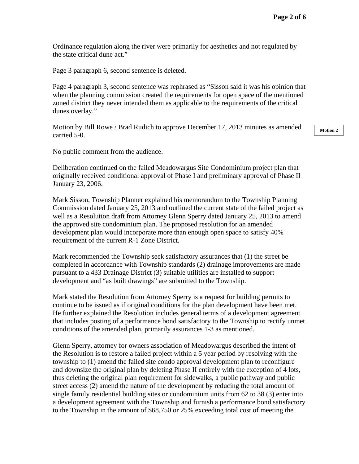Ordinance regulation along the river were primarily for aesthetics and not regulated by the state critical dune act."

Page 3 paragraph 6, second sentence is deleted.

Page 4 paragraph 3, second sentence was rephrased as "Sisson said it was his opinion that when the planning commission created the requirements for open space of the mentioned zoned district they never intended them as applicable to the requirements of the critical dunes overlay."

Motion by Bill Rowe / Brad Rudich to approve December 17, 2013 minutes as amended carried 5-0.

No public comment from the audience.

Deliberation continued on the failed Meadowargus Site Condominium project plan that originally received conditional approval of Phase I and preliminary approval of Phase II January 23, 2006.

Mark Sisson, Township Planner explained his memorandum to the Township Planning Commission dated January 25, 2013 and outlined the current state of the failed project as well as a Resolution draft from Attorney Glenn Sperry dated January 25, 2013 to amend the approved site condominium plan. The proposed resolution for an amended development plan would incorporate more than enough open space to satisfy 40% requirement of the current R-1 Zone District.

Mark recommended the Township seek satisfactory assurances that (1) the street be completed in accordance with Township standards (2) drainage improvements are made pursuant to a 433 Drainage District (3) suitable utilities are installed to support development and "as built drawings" are submitted to the Township.

Mark stated the Resolution from Attorney Sperry is a request for building permits to continue to be issued as if original conditions for the plan development have been met. He further explained the Resolution includes general terms of a development agreement that includes posting of a performance bond satisfactory to the Township to rectify unmet conditions of the amended plan, primarily assurances 1-3 as mentioned.

Glenn Sperry, attorney for owners association of Meadowargus described the intent of the Resolution is to restore a failed project within a 5 year period by resolving with the township to (1) amend the failed site condo approval development plan to reconfigure and downsize the original plan by deleting Phase II entirely with the exception of 4 lots, thus deleting the original plan requirement for sidewalks, a public pathway and public street access (2) amend the nature of the development by reducing the total amount of single family residential building sites or condominium units from 62 to 38 (3) enter into a development agreement with the Township and furnish a performance bond satisfactory to the Township in the amount of \$68,750 or 25% exceeding total cost of meeting the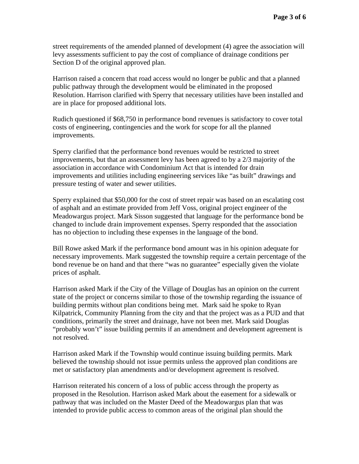street requirements of the amended planned of development (4) agree the association will levy assessments sufficient to pay the cost of compliance of drainage conditions per Section D of the original approved plan.

Harrison raised a concern that road access would no longer be public and that a planned public pathway through the development would be eliminated in the proposed Resolution. Harrison clarified with Sperry that necessary utilities have been installed and are in place for proposed additional lots.

Rudich questioned if \$68,750 in performance bond revenues is satisfactory to cover total costs of engineering, contingencies and the work for scope for all the planned improvements.

Sperry clarified that the performance bond revenues would be restricted to street improvements, but that an assessment levy has been agreed to by a 2/3 majority of the association in accordance with Condominium Act that is intended for drain improvements and utilities including engineering services like "as built" drawings and pressure testing of water and sewer utilities.

Sperry explained that \$50,000 for the cost of street repair was based on an escalating cost of asphalt and an estimate provided from Jeff Voss, original project engineer of the Meadowargus project. Mark Sisson suggested that language for the performance bond be changed to include drain improvement expenses. Sperry responded that the association has no objection to including these expenses in the language of the bond.

Bill Rowe asked Mark if the performance bond amount was in his opinion adequate for necessary improvements. Mark suggested the township require a certain percentage of the bond revenue be on hand and that there "was no guarantee" especially given the violate prices of asphalt.

Harrison asked Mark if the City of the Village of Douglas has an opinion on the current state of the project or concerns similar to those of the township regarding the issuance of building permits without plan conditions being met. Mark said he spoke to Ryan Kilpatrick, Community Planning from the city and that the project was as a PUD and that conditions, primarily the street and drainage, have not been met. Mark said Douglas "probably won't" issue building permits if an amendment and development agreement is not resolved.

Harrison asked Mark if the Township would continue issuing building permits. Mark believed the township should not issue permits unless the approved plan conditions are met or satisfactory plan amendments and/or development agreement is resolved.

Harrison reiterated his concern of a loss of public access through the property as proposed in the Resolution. Harrison asked Mark about the easement for a sidewalk or pathway that was included on the Master Deed of the Meadowargus plan that was intended to provide public access to common areas of the original plan should the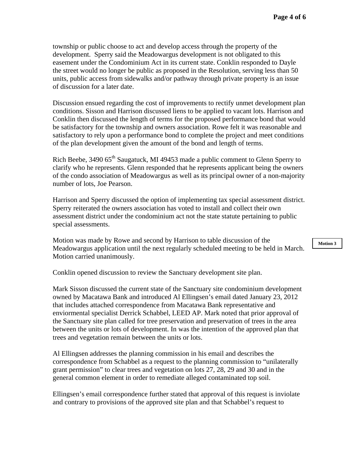township or public choose to act and develop access through the property of the development. Sperry said the Meadowargus development is not obligated to this easement under the Condominium Act in its current state. Conklin responded to Dayle the street would no longer be public as proposed in the Resolution, serving less than 50 units, public access from sidewalks and/or pathway through private property is an issue of discussion for a later date.

Discussion ensued regarding the cost of improvements to rectify unmet development plan conditions. Sisson and Harrison discussed liens to be applied to vacant lots. Harrison and Conklin then discussed the length of terms for the proposed performance bond that would be satisfactory for the township and owners association. Rowe felt it was reasonable and satisfactory to rely upon a performance bond to complete the project and meet conditions of the plan development given the amount of the bond and length of terms.

Rich Beebe, 3490 65<sup>th</sup> Saugatuck, MI 49453 made a public comment to Glenn Sperry to clarify who he represents. Glenn responded that he represents applicant being the owners of the condo association of Meadowargus as well as its principal owner of a non-majority number of lots, Joe Pearson.

Harrison and Sperry discussed the option of implementing tax special assessment district. Sperry reiterated the owners association has voted to install and collect their own assessment district under the condominium act not the state statute pertaining to public special assessments.

Motion was made by Rowe and second by Harrison to table discussion of the Meadowargus application until the next regularly scheduled meeting to be held in March. Motion carried unanimously.

Conklin opened discussion to review the Sanctuary development site plan.

Mark Sisson discussed the current state of the Sanctuary site condominium development owned by Macatawa Bank and introduced Al Ellingsen's email dated January 23, 2012 that includes attached correspondence from Macatawa Bank representative and enviormental specialist Derrick Schabbel, LEED AP. Mark noted that prior approval of the Sanctuary site plan called for tree preservation and preservation of trees in the area between the units or lots of development. In was the intention of the approved plan that trees and vegetation remain between the units or lots.

Al Ellingsen addresses the planning commission in his email and describes the correspondence from Schabbel as a request to the planning commission to "unilaterally grant permission" to clear trees and vegetation on lots 27, 28, 29 and 30 and in the general common element in order to remediate alleged contaminated top soil.

Ellingsen's email correspondence further stated that approval of this request is inviolate and contrary to provisions of the approved site plan and that Schabbel's request to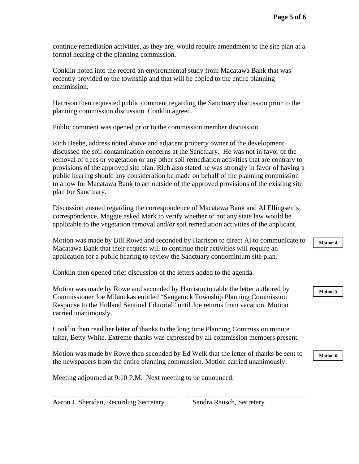continue remediation activities, as they are, would require amendment to the site plan at a formal hearing of the planning commission.

Conklin noted into the record an environmental study from Macatawa Bank that was recently provided to the township and that will be copied to the entire planning commission.

Harrison then requested public comment regarding the Sanctuary discussion prior to the planning commission discussion. Conklin agreed.

Public comment was opened prior to the commission member discussion.

Rich Beebe, address noted above and adjacent property owner of the development discussed the soil contamination concerns at the Sanctuary. He was not in favor of the removal of trees or vegetation or any other soil remediation activities that are contrary to provisions of the approved site plan. Rich also stated he was strongly in favor of having a public hearing should any consideration be made on behalf of the planning commission to allow for Macatawa Bank to act outside of the approved provisions of the existing site plan for Sanctuary.

Discussion ensued regarding the correspondence of Macatawa Bank and Al Ellingsen's correspondence. Maggie asked Mark to verify whether or not any state law would be applicable to the vegetation removal and/or soil remediation activities of the applicant.

Motion was made by Bill Rowe and seconded by Harrison to direct Al to communicate to Macatawa Bank that their request will to continue their activities will require an application for a public hearing to review the Sanctuary condominium site plan.

Conklin then opened brief discussion of the letters added to the agenda.

Motion was made by Rowe and seconded by Harrison to table the letter authored by Commissioner Joe Milauckas entitled "Saugatuck Township Planning Commission Response to the Holland Sentinel Editorial" until Joe returns from vacation. Motion carried unanimously.

Conklin then read her letter of thanks to the long time Planning Commission minute taker, Betty White. Extreme thanks was expressed by all commission members present.

Motion was made by Rowe then seconded by Ed Welk that the letter of thanks be sent to the newspapers from the entire planning commission. Motion carried unanimously.

\_\_\_\_\_\_\_\_\_\_\_\_\_\_\_\_\_\_\_\_\_\_\_\_\_\_\_\_\_\_\_\_\_\_\_\_ \_\_\_\_\_\_\_\_\_\_\_\_\_\_\_\_\_\_\_\_\_\_\_\_\_\_\_\_\_\_\_\_\_\_

Meeting adjourned at 9:10 P.M. Next meeting to be announced.

Aaron J. Sheridan, Recording Secretary Sandra Rausch, Secretary

**Motion 4** 

**Motion 5**